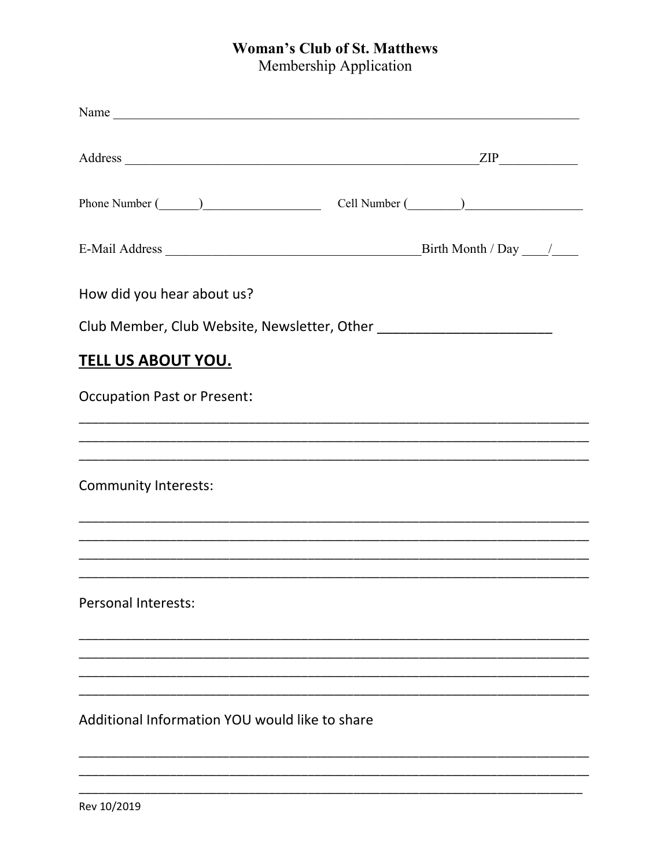## **Woman's Club of St. Matthews**

Membership Application

| Name                                                                                                                                                                                                                           |                                                                                                                       |
|--------------------------------------------------------------------------------------------------------------------------------------------------------------------------------------------------------------------------------|-----------------------------------------------------------------------------------------------------------------------|
|                                                                                                                                                                                                                                |                                                                                                                       |
| Phone Number (Champion Cell Number (Champion Cell Number (Champion Cell Number (Champion Cell Number (Champion Cell Number (Champion Cell Number (Champion Cell Number (Champion Cell Number (Champion Cell Number (Champion C |                                                                                                                       |
|                                                                                                                                                                                                                                | Birth Month / Day $\frac{1}{\sqrt{2\pi}}$                                                                             |
| How did you hear about us?                                                                                                                                                                                                     |                                                                                                                       |
| Club Member, Club Website, Newsletter, Other ___________________________________                                                                                                                                               |                                                                                                                       |
| <u>TELL US ABOUT YOU.</u>                                                                                                                                                                                                      |                                                                                                                       |
| <b>Occupation Past or Present:</b>                                                                                                                                                                                             |                                                                                                                       |
|                                                                                                                                                                                                                                |                                                                                                                       |
| <b>Community Interests:</b>                                                                                                                                                                                                    |                                                                                                                       |
|                                                                                                                                                                                                                                | <u> 1989 - Johann Stoff, deutscher Stoff, der Stoff, der Stoff, der Stoff, der Stoff, der Stoff, der Stoff, der S</u> |
| <b>Personal Interests:</b>                                                                                                                                                                                                     |                                                                                                                       |
|                                                                                                                                                                                                                                |                                                                                                                       |
| Additional Information YOU would like to share                                                                                                                                                                                 |                                                                                                                       |
|                                                                                                                                                                                                                                |                                                                                                                       |